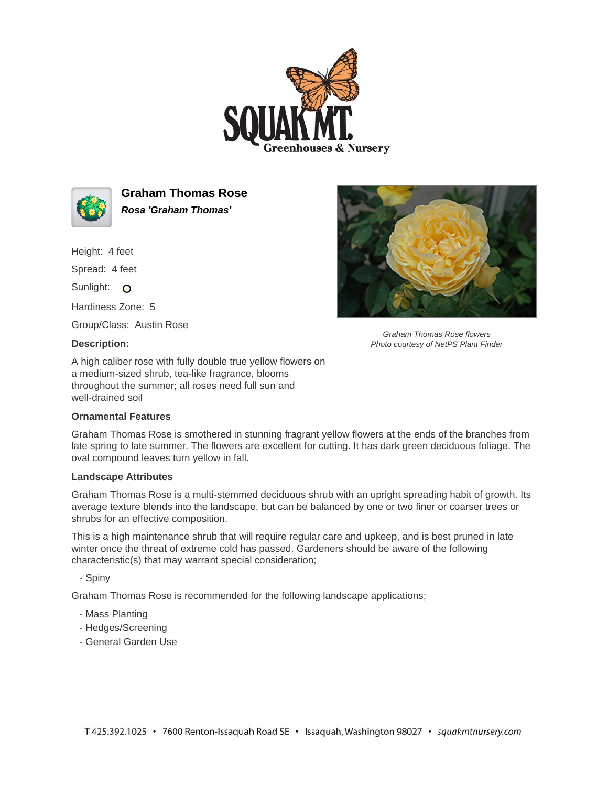



**Graham Thomas Rose Rosa 'Graham Thomas'**

Height: 4 feet

Spread: 4 feet

Sunlight: O

Hardiness Zone: 5

Group/Class: Austin Rose

## **Description:**

A high caliber rose with fully double true yellow flowers on a medium-sized shrub, tea-like fragrance, blooms throughout the summer; all roses need full sun and well-drained soil

## **Ornamental Features**

Graham Thomas Rose is smothered in stunning fragrant yellow flowers at the ends of the branches from late spring to late summer. The flowers are excellent for cutting. It has dark green deciduous foliage. The oval compound leaves turn yellow in fall.

## **Landscape Attributes**

Graham Thomas Rose is a multi-stemmed deciduous shrub with an upright spreading habit of growth. Its average texture blends into the landscape, but can be balanced by one or two finer or coarser trees or shrubs for an effective composition.

This is a high maintenance shrub that will require regular care and upkeep, and is best pruned in late winter once the threat of extreme cold has passed. Gardeners should be aware of the following characteristic(s) that may warrant special consideration;

- Spiny

Graham Thomas Rose is recommended for the following landscape applications;

- Mass Planting
- Hedges/Screening
- General Garden Use



Graham Thomas Rose flowers Photo courtesy of NetPS Plant Finder